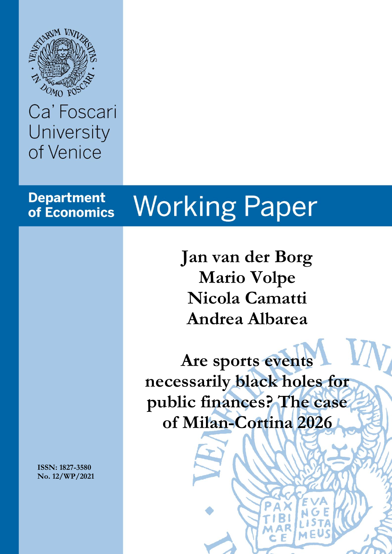

## Ca' Foscari University of Venice

### **Department** of Economics

# **Working Paper**

**Jan van der Borg Mario Volpe Nicola Camatti Andrea Albarea**

**Are sports events necessarily black holes for public finances? The case of Milan-Cortina 2026**

**ISSN: 1827-3580 No. 12/WP/2021**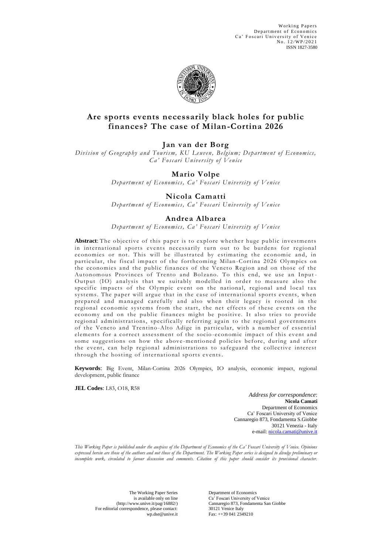Working Papers Department of Economics Ca' Foscari University of Venice No. 12/WP/2021 ISSN 1827-3580



#### **Are sports events necessarily black holes for public finances? The case of Milan-Cortina 2026**

#### **Jan van der Borg**

*Division of Geography and Tourism, KU Leuven, Belgium; Department of Economics, Ca' Foscari University of Venice*

#### **Mario Volpe**

*Department of Economics, Ca' Foscari University of Venice*

#### **Nicola Camatti**

*Department of Economics, Ca' Foscari University of Venice*

#### **Andrea Albarea**

*Department of Economics, Ca' Foscari University of Venice*

Abstract: The objective of this paper is to explore whether huge public investments in international sports events necessarily turn out to be burdens for regional economies or not. This will be illustrated by estimating the economic and, in particular, the fiscal impact of the forthcoming Milan -Cortina 2026 Olympics on the economies and the public finances of the Veneto Region and on those of the Autonomous Provinces of Trento and Bolzano. To this end, we use an Input-Output (IO) analysis that we suitably modelled in order to measure also the specific impacts of the Olympic event on the national, regional and local tax systems. The paper will argue that in the case of international sports events, when prepared and managed carefully and also when their legacy is rooted in the regional econ omic systems from the start, the net effects of these events on the economy and on the public finances might be positive. It also tries to provide regional administrations, specifically referring again to the regional governments of the Veneto and Trentino-Alto Adige in particular, with a number of essential elements for a correct assessment of the socio-economic impact of this event and some suggestions on how the above-mentioned policies before, during and after the event, can help regional administrations to safeguard the collective interest through the hosting of international sports events.

**Keywords**: Big Event, Milan-Cortina 2026 Olympics, IO analysis, economic impact, regional development, public finance

**JEL Codes**: L83, O18, R58

*Address for correspondence*: **Nicola Camati** Department of Economics Ca' Foscari University of Venice Cannaregio 873, Fondamenta S.Giobbe 30121 Venezia - Italy e-mail[: nicola.camati@unive.it](mailto:nicola.camati@unive.it)

*This Working Paper is published under the auspices of the Department of Economics of the Ca' Foscari University of Venice. Opinions expressed herein are those of the authors and not those of the Department. The Working Paper series is designed to divulge preliminary or incomplete work, circulated to favour discussion and comments. Citation of this paper should consider its provisional character.*

The Working Paper Series is available only on line (http://www.unive.it/pag/16882/) For editorial correspondence, please contact: wn ds[e@unive.it](mailto:dsepapers@unive.it)

Department of Economics Ca' Foscari University of Venice Cannaregio 873, Fondamenta San Giobbe 30121 Venice Italy Fax: ++39 041 2349210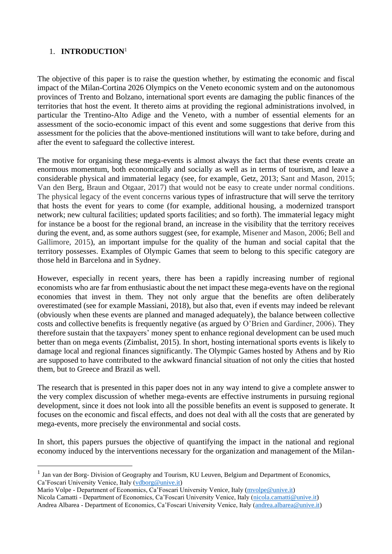#### 1. **INTRODUCTION**<sup>1</sup>

The objective of this paper is to raise the question whether, by estimating the economic and fiscal impact of the Milan-Cortina 2026 Olympics on the Veneto economic system and on the autonomous provinces of Trento and Bolzano, international sport events are damaging the public finances of the territories that host the event. It thereto aims at providing the regional administrations involved, in particular the Trentino-Alto Adige and the Veneto, with a number of essential elements for an assessment of the socio-economic impact of this event and some suggestions that derive from this assessment for the policies that the above-mentioned institutions will want to take before, during and after the event to safeguard the collective interest.

The motive for organising these mega-events is almost always the fact that these events create an enormous momentum, both economically and socially as well as in terms of tourism, and leave a considerable physical and immaterial legacy (see, for example, Getz, 2013; Sant and Mason, 2015; Van den Berg, Braun and Otgaar, 2017) that would not be easy to create under normal conditions. The physical legacy of the event concerns various types of infrastructure that will serve the territory that hosts the event for years to come (for example, additional housing, a modernized transport network; new cultural facilities; updated sports facilities; and so forth). The immaterial legacy might for instance be a boost for the regional brand, an increase in the visibility that the territory receives during the event, and, as some authors suggest (see, for example, Misener and Mason, 2006; Bell and Gallimore, 2015), an important impulse for the quality of the human and social capital that the territory possesses. Examples of Olympic Games that seem to belong to this specific category are those held in Barcelona and in Sydney.

However, especially in recent years, there has been a rapidly increasing number of regional economists who are far from enthusiastic about the net impact these mega-events have on the regional economies that invest in them. They not only argue that the benefits are often deliberately overestimated (see for example Massiani, 2018), but also that, even if events may indeed be relevant (obviously when these events are planned and managed adequately), the balance between collective costs and collective benefits is frequently negative (as argued by O'Brien and Gardiner, 2006). They therefore sustain that the taxpayers' money spent to enhance regional development can be used much better than on mega events (Zimbalist, 2015). In short, hosting international sports events is likely to damage local and regional finances significantly. The Olympic Games hosted by Athens and by Rio are supposed to have contributed to the awkward financial situation of not only the cities that hosted them, but to Greece and Brazil as well.

The research that is presented in this paper does not in any way intend to give a complete answer to the very complex discussion of whether mega-events are effective instruments in pursuing regional development, since it does not look into all the possible benefits an event is supposed to generate. It focuses on the economic and fiscal effects, and does not deal with all the costs that are generated by mega-events, more precisely the environmental and social costs.

In short, this papers pursues the objective of quantifying the impact in the national and regional economy induced by the interventions necessary for the organization and management of the Milan-

Mario Volpe - Department of Economics, Ca'Foscari University Venice, Italy [\(mvolpe@unive.it\)](mailto:mvolpe@unive.it) Nicola Camatti - Department of Economics, Ca'Foscari University Venice, Italy [\(nicola.camatti@unive.it\)](mailto:nicola.camatti@unive.it) Andrea Albarea - Department of Economics, Ca'Foscari University Venice, Italy [\(andrea.albarea@unive.it\)](mailto:andrea.albarea@unive.it)

<sup>&</sup>lt;sup>1</sup> Jan van der Borg- Division of Geography and Tourism, KU Leuven, Belgium and Department of Economics, Ca'Foscari University Venice, Italy [\(vdborg@unive.it\)](mailto:vdborg@unive.it)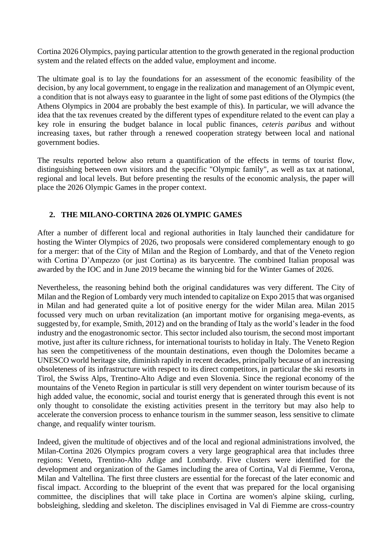Cortina 2026 Olympics, paying particular attention to the growth generated in the regional production system and the related effects on the added value, employment and income.

The ultimate goal is to lay the foundations for an assessment of the economic feasibility of the decision, by any local government, to engage in the realization and management of an Olympic event, a condition that is not always easy to guarantee in the light of some past editions of the Olympics (the Athens Olympics in 2004 are probably the best example of this). In particular, we will advance the idea that the tax revenues created by the different types of expenditure related to the event can play a key role in ensuring the budget balance in local public finances, *ceteris paribus* and without increasing taxes, but rather through a renewed cooperation strategy between local and national government bodies.

The results reported below also return a quantification of the effects in terms of tourist flow, distinguishing between own visitors and the specific "Olympic family", as well as tax at national, regional and local levels. But before presenting the results of the economic analysis, the paper will place the 2026 Olympic Games in the proper context.

#### **2. THE MILANO-CORTINA 2026 OLYMPIC GAMES**

After a number of different local and regional authorities in Italy launched their candidature for hosting the Winter Olympics of 2026, two proposals were considered complementary enough to go for a merger: that of the City of Milan and the Region of Lombardy, and that of the Veneto region with Cortina D'Ampezzo (or just Cortina) as its barycentre. The combined Italian proposal was awarded by the IOC and in June 2019 became the winning bid for the Winter Games of 2026.

Nevertheless, the reasoning behind both the original candidatures was very different. The City of Milan and the Region of Lombardy very much intended to capitalize on Expo 2015 that was organised in Milan and had generated quite a lot of positive energy for the wider Milan area. Milan 2015 focussed very much on urban revitalization (an important motive for organising mega-events, as suggested by, for example, Smith, 2012) and on the branding of Italy as the world's leader in the food industry and the enogastronomic sector. This sector included also tourism, the second most important motive, just after its culture richness, for international tourists to holiday in Italy. The Veneto Region has seen the competitiveness of the mountain destinations, even though the Dolomites became a UNESCO world heritage site, diminish rapidly in recent decades, principally because of an increasing obsoleteness of its infrastructure with respect to its direct competitors, in particular the ski resorts in Tirol, the Swiss Alps, Trentino-Alto Adige and even Slovenia. Since the regional economy of the mountains of the Veneto Region in particular is still very dependent on winter tourism because of its high added value, the economic, social and tourist energy that is generated through this event is not only thought to consolidate the existing activities present in the territory but may also help to accelerate the conversion process to enhance tourism in the summer season, less sensitive to climate change, and requalify winter tourism.

Indeed, given the multitude of objectives and of the local and regional administrations involved, the Milan-Cortina 2026 Olympics program covers a very large geographical area that includes three regions: Veneto, Trentino-Alto Adige and Lombardy. Five clusters were identified for the development and organization of the Games including the area of Cortina, Val di Fiemme, Verona, Milan and Valtellina. The first three clusters are essential for the forecast of the later economic and fiscal impact. According to the blueprint of the event that was prepared for the local organising committee, the disciplines that will take place in Cortina are women's alpine skiing, curling, bobsleighing, sledding and skeleton. The disciplines envisaged in Val di Fiemme are cross-country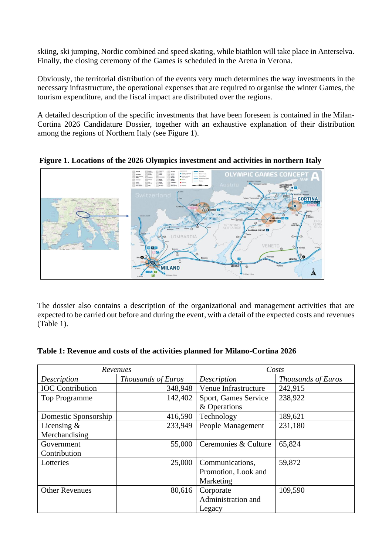skiing, ski jumping, Nordic combined and speed skating, while biathlon will take place in Anterselva. Finally, the closing ceremony of the Games is scheduled in the Arena in Verona.

Obviously, the territorial distribution of the events very much determines the way investments in the necessary infrastructure, the operational expenses that are required to organise the winter Games, the tourism expenditure, and the fiscal impact are distributed over the regions.

A detailed description of the specific investments that have been foreseen is contained in the Milan-Cortina 2026 Candidature Dossier, together with an exhaustive explanation of their distribution among the regions of Northern Italy (see Figure 1).



**Figure 1. Locations of the 2026 Olympics investment and activities in northern Italy**

The dossier also contains a description of the organizational and management activities that are expected to be carried out before and during the event, with a detail of the expected costs and revenues (Table 1).

| Table 1: Revenue and costs of the activities planned for Milano-Cortina 2026 |  |
|------------------------------------------------------------------------------|--|
|------------------------------------------------------------------------------|--|

| Revenues                |                    | Costs                |                    |
|-------------------------|--------------------|----------------------|--------------------|
| Description             | Thousands of Euros | Description          | Thousands of Euros |
| <b>IOC</b> Contribution | 348,948            | Venue Infrastructure | 242,915            |
| <b>Top Programme</b>    | 142,402            | Sport, Games Service | 238,922            |
|                         |                    | & Operations         |                    |
| Domestic Sponsorship    | 416,590            | Technology           | 189,621            |
| Licensing $\&$          | 233,949            | People Management    | 231,180            |
| Merchandising           |                    |                      |                    |
| Government              | 55,000             | Ceremonies & Culture | 65,824             |
| Contribution            |                    |                      |                    |
| Lotteries               | 25,000             | Communications,      | 59,872             |
|                         |                    | Promotion, Look and  |                    |
|                         |                    | Marketing            |                    |
| <b>Other Revenues</b>   | 80,616             | Corporate            | 109,590            |
|                         |                    | Administration and   |                    |
|                         |                    | Legacy               |                    |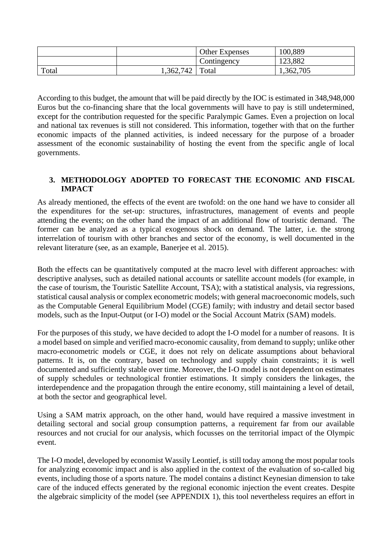|       |           | <b>Other Expenses</b> | 100,889   |
|-------|-----------|-----------------------|-----------|
|       |           | Contingency           | 123,882   |
| Total | 1,362,742 | Total                 | 1,362,705 |

According to this budget, the amount that will be paid directly by the IOC is estimated in 348,948,000 Euros but the co-financing share that the local governments will have to pay is still undetermined, except for the contribution requested for the specific Paralympic Games. Even a projection on local and national tax revenues is still not considered. This information, together with that on the further economic impacts of the planned activities, is indeed necessary for the purpose of a broader assessment of the economic sustainability of hosting the event from the specific angle of local governments.

#### **3. METHODOLOGY ADOPTED TO FORECAST THE ECONOMIC AND FISCAL IMPACT**

As already mentioned, the effects of the event are twofold: on the one hand we have to consider all the expenditures for the set-up: structures, infrastructures, management of events and people attending the events; on the other hand the impact of an additional flow of touristic demand. The former can be analyzed as a typical exogenous shock on demand. The latter, i.e. the strong interrelation of tourism with other branches and sector of the economy, is well documented in the relevant literature (see, as an example, Banerjee et al. 2015).

Both the effects can be quantitatively computed at the macro level with different approaches: with descriptive analyses, such as detailed national accounts or satellite account models (for example, in the case of tourism, the Touristic Satellite Account, TSA); with a statistical analysis, via regressions, statistical causal analysis or complex econometric models; with general macroeconomic models, such as the Computable General Equilibrium Model (CGE) family; with industry and detail sector based models, such as the Input-Output (or I-O) model or the Social Account Matrix (SAM) models.

For the purposes of this study, we have decided to adopt the I-O model for a number of reasons. It is a model based on simple and verified macro-economic causality, from demand to supply; unlike other macro-econometric models or CGE, it does not rely on delicate assumptions about behavioral patterns. It is, on the contrary, based on technology and supply chain constraints; it is well documented and sufficiently stable over time. Moreover, the I-O model is not dependent on estimates of supply schedules or technological frontier estimations. It simply considers the linkages, the interdependence and the propagation through the entire economy, still maintaining a level of detail, at both the sector and geographical level.

Using a SAM matrix approach, on the other hand, would have required a massive investment in detailing sectoral and social group consumption patterns, a requirement far from our available resources and not crucial for our analysis, which focusses on the territorial impact of the Olympic event.

The I-O model, developed by economist Wassily Leontief, is still today among the most popular tools for analyzing economic impact and is also applied in the context of the evaluation of so-called big events, including those of a sports nature. The model contains a distinct Keynesian dimension to take care of the induced effects generated by the regional economic injection the event creates. Despite the algebraic simplicity of the model (see APPENDIX 1), this tool nevertheless requires an effort in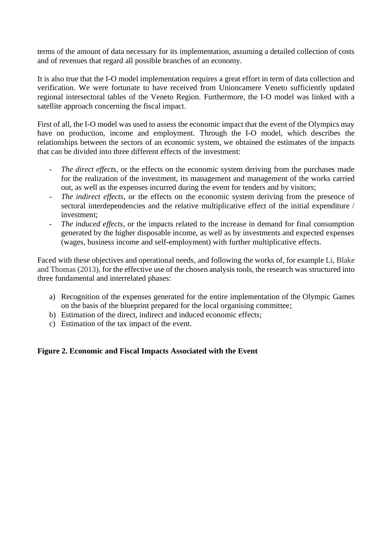terms of the amount of data necessary for its implementation, assuming a detailed collection of costs and of revenues that regard all possible branches of an economy.

It is also true that the I-O model implementation requires a great effort in term of data collection and verification. We were fortunate to have received from Unioncamere Veneto sufficiently updated regional intersectoral tables of the Veneto Region. Furthermore, the I-O model was linked with a satellite approach concerning the fiscal impact.

First of all, the I-O model was used to assess the economic impact that the event of the Olympics may have on production, income and employment. Through the I-O model, which describes the relationships between the sectors of an economic system, we obtained the estimates of the impacts that can be divided into three different effects of the investment:

- The direct effects, or the effects on the economic system deriving from the purchases made for the realization of the investment, its management and management of the works carried out, as well as the expenses incurred during the event for tenders and by visitors;
- *The indirect effects*, or the effects on the economic system deriving from the presence of sectoral interdependencies and the relative multiplicative effect of the initial expenditure / investment;
- The *induced effects*, or the impacts related to the increase in demand for final consumption generated by the higher disposable income, as well as by investments and expected expenses (wages, business income and self-employment) with further multiplicative effects.

Faced with these objectives and operational needs, and following the works of, for example Li, Blake and Thomas (2013), for the effective use of the chosen analysis tools, the research was structured into three fundamental and interrelated phases:

- a) Recognition of the expenses generated for the entire implementation of the Olympic Games on the basis of the blueprint prepared for the local organising committee;
- b) Estimation of the direct, indirect and induced economic effects;
- c) Estimation of the tax impact of the event.

#### **Figure 2. Economic and Fiscal Impacts Associated with the Event**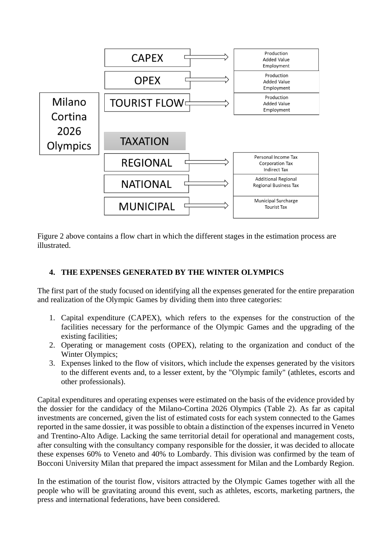

Figure 2 above contains a flow chart in which the different stages in the estimation process are illustrated.

#### **4. THE EXPENSES GENERATED BY THE WINTER OLYMPICS**

The first part of the study focused on identifying all the expenses generated for the entire preparation and realization of the Olympic Games by dividing them into three categories:

- 1. Capital expenditure (CAPEX), which refers to the expenses for the construction of the facilities necessary for the performance of the Olympic Games and the upgrading of the existing facilities;
- 2. Operating or management costs (OPEX), relating to the organization and conduct of the Winter Olympics;
- 3. Expenses linked to the flow of visitors, which include the expenses generated by the visitors to the different events and, to a lesser extent, by the "Olympic family" (athletes, escorts and other professionals).

Capital expenditures and operating expenses were estimated on the basis of the evidence provided by the dossier for the candidacy of the Milano-Cortina 2026 Olympics (Table 2). As far as capital investments are concerned, given the list of estimated costs for each system connected to the Games reported in the same dossier, it was possible to obtain a distinction of the expenses incurred in Veneto and Trentino-Alto Adige. Lacking the same territorial detail for operational and management costs, after consulting with the consultancy company responsible for the dossier, it was decided to allocate these expenses 60% to Veneto and 40% to Lombardy. This division was confirmed by the team of Bocconi University Milan that prepared the impact assessment for Milan and the Lombardy Region.

In the estimation of the tourist flow, visitors attracted by the Olympic Games together with all the people who will be gravitating around this event, such as athletes, escorts, marketing partners, the press and international federations, have been considered.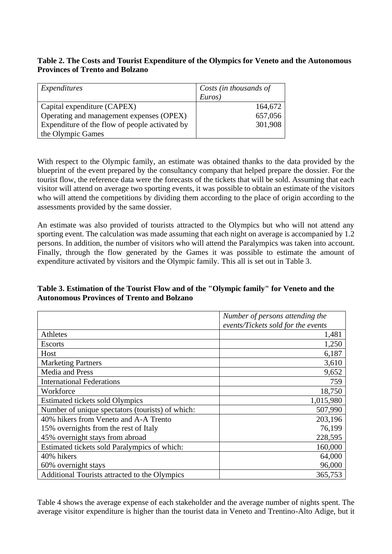#### **Table 2. The Costs and Tourist Expenditure of the Olympics for Veneto and the Autonomous Provinces of Trento and Bolzano**

| Expenditures                                   | Costs (in thousands of |  |
|------------------------------------------------|------------------------|--|
|                                                | Euros)                 |  |
| Capital expenditure (CAPEX)                    | 164,672                |  |
| Operating and management expenses (OPEX)       | 657,056                |  |
| Expenditure of the flow of people activated by | 301,908                |  |
| the Olympic Games                              |                        |  |

With respect to the Olympic family, an estimate was obtained thanks to the data provided by the blueprint of the event prepared by the consultancy company that helped prepare the dossier. For the tourist flow, the reference data were the forecasts of the tickets that will be sold. Assuming that each visitor will attend on average two sporting events, it was possible to obtain an estimate of the visitors who will attend the competitions by dividing them according to the place of origin according to the assessments provided by the same dossier.

An estimate was also provided of tourists attracted to the Olympics but who will not attend any sporting event. The calculation was made assuming that each night on average is accompanied by 1.2 persons. In addition, the number of visitors who will attend the Paralympics was taken into account. Finally, through the flow generated by the Games it was possible to estimate the amount of expenditure activated by visitors and the Olympic family. This all is set out in Table 3.

#### **Table 3. Estimation of the Tourist Flow and of the "Olympic family" for Veneto and the Autonomous Provinces of Trento and Bolzano**

|                                                  | Number of persons attending the    |
|--------------------------------------------------|------------------------------------|
|                                                  | events/Tickets sold for the events |
| Athletes                                         | 1,481                              |
| <b>Escorts</b>                                   | 1,250                              |
| Host                                             | 6,187                              |
| <b>Marketing Partners</b>                        | 3,610                              |
| Media and Press                                  | 9,652                              |
| <b>International Federations</b>                 | 759                                |
| Workforce                                        | 18,750                             |
| Estimated tickets sold Olympics                  | 1,015,980                          |
| Number of unique spectators (tourists) of which: | 507,990                            |
| 40% hikers from Veneto and A-A Trento            | 203,196                            |
| 15% overnights from the rest of Italy            | 76,199                             |
| 45% overnight stays from abroad                  | 228,595                            |
| Estimated tickets sold Paralympics of which:     | 160,000                            |
| 40% hikers                                       | 64,000                             |
| 60% overnight stays                              | 96,000                             |
| Additional Tourists attracted to the Olympics    | 365,753                            |

Table 4 shows the average expense of each stakeholder and the average number of nights spent. The average visitor expenditure is higher than the tourist data in Veneto and Trentino-Alto Adige, but it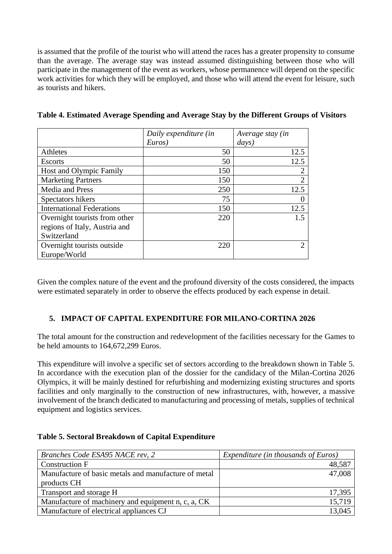is assumed that the profile of the tourist who will attend the races has a greater propensity to consume than the average. The average stay was instead assumed distinguishing between those who will participate in the management of the event as workers, whose permanence will depend on the specific work activities for which they will be employed, and those who will attend the event for leisure, such as tourists and hikers.

|                                  | Daily expenditure (in | Average stay (in |
|----------------------------------|-----------------------|------------------|
|                                  | Euros)                | days)            |
| Athletes                         | 50                    | 12.5             |
| <b>Escorts</b>                   | 50                    | 12.5             |
| Host and Olympic Family          | 150                   | 2                |
| <b>Marketing Partners</b>        | 150                   | $\overline{2}$   |
| Media and Press                  | 250                   | 12.5             |
| Spectators hikers                | 75                    | $\theta$         |
| <b>International Federations</b> | 150                   | 12.5             |
| Overnight tourists from other    | 220                   | 1.5              |
| regions of Italy, Austria and    |                       |                  |
| Switzerland                      |                       |                  |
| Overnight tourists outside       | 220                   | 2                |
| Europe/World                     |                       |                  |

**Table 4. Estimated Average Spending and Average Stay by the Different Groups of Visitors**

Given the complex nature of the event and the profound diversity of the costs considered, the impacts were estimated separately in order to observe the effects produced by each expense in detail.

#### **5. IMPACT OF CAPITAL EXPENDITURE FOR MILANO-CORTINA 2026**

The total amount for the construction and redevelopment of the facilities necessary for the Games to be held amounts to 164,672,299 Euros.

This expenditure will involve a specific set of sectors according to the breakdown shown in Table 5. In accordance with the execution plan of the dossier for the candidacy of the Milan-Cortina 2026 Olympics, it will be mainly destined for refurbishing and modernizing existing structures and sports facilities and only marginally to the construction of new infrastructures, with, however, a massive involvement of the branch dedicated to manufacturing and processing of metals, supplies of technical equipment and logistics services.

| Table 5. Sectoral Breakdown of Capital Expenditure |  |
|----------------------------------------------------|--|
|----------------------------------------------------|--|

| Branches Code ESA95 NACE rev, 2                      | Expenditure (in thousands of Euros) |
|------------------------------------------------------|-------------------------------------|
| <b>Construction F</b>                                | 48,587                              |
| Manufacture of basic metals and manufacture of metal | 47,008                              |
| products CH                                          |                                     |
| Transport and storage H                              | 17,395                              |
| Manufacture of machinery and equipment n, c, a, CK   | 15,719                              |
| Manufacture of electrical appliances CJ              | 13,045                              |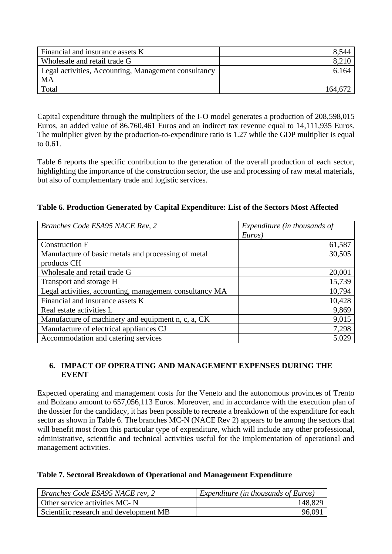| Financial and insurance assets K                     | 8,544   |
|------------------------------------------------------|---------|
| Wholesale and retail trade G                         | 8,210   |
| Legal activities, Accounting, Management consultancy | 6.164   |
| MA                                                   |         |
| Total                                                | 164,672 |

Capital expenditure through the multipliers of the I-O model generates a production of 208,598,015 Euros, an added value of 86.760.461 Euros and an indirect tax revenue equal to 14,111,935 Euros. The multiplier given by the production-to-expenditure ratio is 1.27 while the GDP multiplier is equal to 0.61.

Table 6 reports the specific contribution to the generation of the overall production of each sector, highlighting the importance of the construction sector, the use and processing of raw metal materials, but also of complementary trade and logistic services.

#### **Table 6. Production Generated by Capital Expenditure: List of the Sectors Most Affected**

| Branches Code ESA95 NACE Rev, 2                         | Expenditure (in thousands of |
|---------------------------------------------------------|------------------------------|
|                                                         | Euros)                       |
| <b>Construction F</b>                                   | 61,587                       |
| Manufacture of basic metals and processing of metal     | 30,505                       |
| products CH                                             |                              |
| Wholesale and retail trade G                            | 20,001                       |
| Transport and storage H                                 | 15,739                       |
| Legal activities, accounting, management consultancy MA | 10,794                       |
| Financial and insurance assets K                        | 10,428                       |
| Real estate activities L                                | 9,869                        |
| Manufacture of machinery and equipment n, c, a, CK      | 9,015                        |
| Manufacture of electrical appliances CJ                 | 7,298                        |
| Accommodation and catering services                     | 5.029                        |

#### **6. IMPACT OF OPERATING AND MANAGEMENT EXPENSES DURING THE EVENT**

Expected operating and management costs for the Veneto and the autonomous provinces of Trento and Bolzano amount to 657,056,113 Euros. Moreover, and in accordance with the execution plan of the dossier for the candidacy, it has been possible to recreate a breakdown of the expenditure for each sector as shown in Table 6. The branches MC-N (NACE Rev 2) appears to be among the sectors that will benefit most from this particular type of expenditure, which will include any other professional, administrative, scientific and technical activities useful for the implementation of operational and management activities.

#### **Table 7. Sectoral Breakdown of Operational and Management Expenditure**

| Branches Code ESA95 NACE rev, 2        | $\vert$ Expenditure (in thousands of Euros) |
|----------------------------------------|---------------------------------------------|
| Other service activities MC-N          | 148,829                                     |
| Scientific research and development MB | 96,091                                      |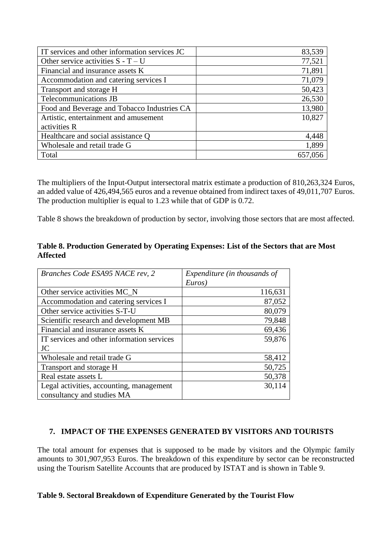| IT services and other information services JC | 83,539  |
|-----------------------------------------------|---------|
| Other service activities $S - T - U$          | 77,521  |
| Financial and insurance assets K              | 71,891  |
| Accommodation and catering services I         | 71,079  |
| Transport and storage H                       | 50,423  |
| Telecommunications JB                         | 26,530  |
| Food and Beverage and Tobacco Industries CA   | 13,980  |
| Artistic, entertainment and amusement         | 10,827  |
| activities R                                  |         |
| Healthcare and social assistance Q            | 4,448   |
| Wholesale and retail trade G                  | 1,899   |
| Total                                         | 657,056 |

The multipliers of the Input-Output intersectoral matrix estimate a production of 810,263,324 Euros, an added value of 426,494,565 euros and a revenue obtained from indirect taxes of 49,011,707 Euros. The production multiplier is equal to 1.23 while that of GDP is 0.72.

Table 8 shows the breakdown of production by sector, involving those sectors that are most affected.

#### **Table 8. Production Generated by Operating Expenses: List of the Sectors that are Most Affected**

| Branches Code ESA95 NACE rev, 2            | Expenditure (in thousands of |
|--------------------------------------------|------------------------------|
|                                            | Euros)                       |
| Other service activities MC_N              | 116,631                      |
| Accommodation and catering services I      | 87,052                       |
| Other service activities S-T-U             | 80,079                       |
| Scientific research and development MB     | 79,848                       |
| Financial and insurance assets K           | 69,436                       |
| IT services and other information services | 59,876                       |
| JC                                         |                              |
| Wholesale and retail trade G               | 58,412                       |
| Transport and storage H                    | 50,725                       |
| Real estate assets L                       | 50,378                       |
| Legal activities, accounting, management   | 30,114                       |
| consultancy and studies MA                 |                              |

#### **7. IMPACT OF THE EXPENSES GENERATED BY VISITORS AND TOURISTS**

The total amount for expenses that is supposed to be made by visitors and the Olympic family amounts to 301,907,953 Euros. The breakdown of this expenditure by sector can be reconstructed using the Tourism Satellite Accounts that are produced by ISTAT and is shown in Table 9.

#### **Table 9. Sectoral Breakdown of Expenditure Generated by the Tourist Flow**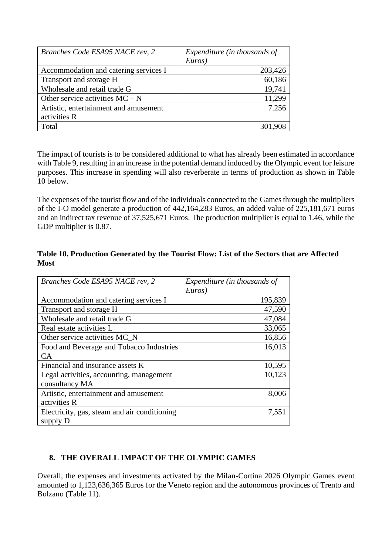| Branches Code ESA95 NACE rev, 2       | Expenditure (in thousands of |  |  |
|---------------------------------------|------------------------------|--|--|
|                                       | Euros)                       |  |  |
| Accommodation and catering services I | 203,426                      |  |  |
| Transport and storage H               | 60,186                       |  |  |
| Wholesale and retail trade G          | 19,741                       |  |  |
| Other service activities $MC - N$     | 11,299                       |  |  |
| Artistic, entertainment and amusement | 7.256                        |  |  |
| activities R                          |                              |  |  |
| Total                                 |                              |  |  |

The impact of tourists is to be considered additional to what has already been estimated in accordance with Table 9, resulting in an increase in the potential demand induced by the Olympic event for leisure purposes. This increase in spending will also reverberate in terms of production as shown in Table 10 below.

The expenses of the tourist flow and of the individuals connected to the Games through the multipliers of the I-O model generate a production of 442,164,283 Euros, an added value of 225,181,671 euros and an indirect tax revenue of 37,525,671 Euros. The production multiplier is equal to 1.46, while the GDP multiplier is 0.87.

#### **Table 10. Production Generated by the Tourist Flow: List of the Sectors that are Affected Most**

| Branches Code ESA95 NACE rev, 2              | Expenditure (in thousands of<br>Euros) |
|----------------------------------------------|----------------------------------------|
| Accommodation and catering services I        | 195,839                                |
| Transport and storage H                      | 47,590                                 |
| Wholesale and retail trade G                 | 47,084                                 |
| Real estate activities L                     | 33,065                                 |
| Other service activities MC_N                | 16,856                                 |
| Food and Beverage and Tobacco Industries     | 16,013                                 |
| <b>CA</b>                                    |                                        |
| Financial and insurance assets K             | 10,595                                 |
| Legal activities, accounting, management     | 10,123                                 |
| consultancy MA                               |                                        |
| Artistic, entertainment and amusement        | 8,006                                  |
| activities R                                 |                                        |
| Electricity, gas, steam and air conditioning | 7,551                                  |
| supply D                                     |                                        |

#### **8. THE OVERALL IMPACT OF THE OLYMPIC GAMES**

Overall, the expenses and investments activated by the Milan-Cortina 2026 Olympic Games event amounted to 1,123,636,365 Euros for the Veneto region and the autonomous provinces of Trento and Bolzano (Table 11).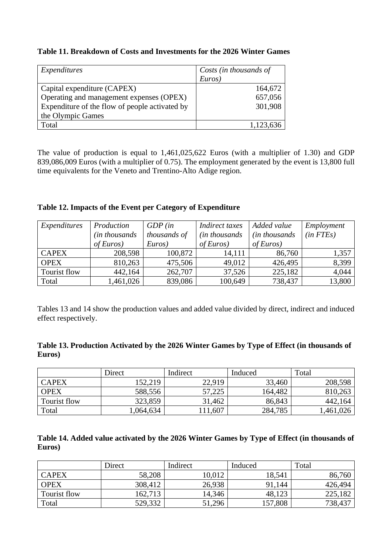#### **Table 11. Breakdown of Costs and Investments for the 2026 Winter Games**

| Expenditures                                   | Costs (in thousands of |  |  |
|------------------------------------------------|------------------------|--|--|
|                                                | Euros)                 |  |  |
| Capital expenditure (CAPEX)                    | 164,672                |  |  |
| Operating and management expenses (OPEX)       | 657,056                |  |  |
| Expenditure of the flow of people activated by | 301,908                |  |  |
| the Olympic Games                              |                        |  |  |
| Total                                          | 1,123,636              |  |  |

The value of production is equal to 1,461,025,622 Euros (with a multiplier of 1.30) and GDP 839,086,009 Euros (with a multiplier of 0.75). The employment generated by the event is 13,800 full time equivalents for the Veneto and Trentino-Alto Adige region.

|  |  |  | Table 12. Impacts of the Event per Category of Expenditure |  |
|--|--|--|------------------------------------------------------------|--|
|  |  |  |                                                            |  |

| Expenditures | Production    | $GDP$ (in    | Indirect taxes | Added value           | Employment    |
|--------------|---------------|--------------|----------------|-----------------------|---------------|
|              | in thousands) | thousands of | (in thousands) | <i>(in thousands)</i> | $(in$ $FTEs)$ |
|              | of Euros)     | Euros)       | of Euros)      | of Euros)             |               |
| <b>CAPEX</b> | 208,598       | 100,872      | 14,111         | 86,760                | 1,357         |
| <b>OPEX</b>  | 810,263       | 475,506      | 49,012         | 426,495               | 8,399         |
| Tourist flow | 442,164       | 262,707      | 37,526         | 225,182               | 4,044         |
| Total        | 1,461,026     | 839,086      | 100,649        | 738,437               | 13,800        |

Tables 13 and 14 show the production values and added value divided by direct, indirect and induced effect respectively.

|        |  |  | Table 13. Production Activated by the 2026 Winter Games by Type of Effect (in thousands of |
|--------|--|--|--------------------------------------------------------------------------------------------|
| Euros) |  |  |                                                                                            |

|              | Direct    | Indirect | Induced | Total     |
|--------------|-----------|----------|---------|-----------|
| <b>CAPEX</b> | 152,219   | 22,919   | 33,460  | 208,598   |
| <b>OPEX</b>  | 588,556   | 57,225   | 164,482 | 810,263   |
| Tourist flow | 323,859   | 31,462   | 86,843  | 442,164   |
| Total        | 1,064,634 | 11,607   | 284,785 | 1,461,026 |

| Table 14. Added value activated by the 2026 Winter Games by Type of Effect (in thousands of |  |  |
|---------------------------------------------------------------------------------------------|--|--|
| Euros)                                                                                      |  |  |

|              | Direct  | Indirect | Induced | Total   |
|--------------|---------|----------|---------|---------|
| <b>CAPEX</b> | 58,208  | 10.012   | 18,541  | 86,760  |
| <b>OPEX</b>  | 308,412 | 26,938   | 91,144  | 426,494 |
| Tourist flow | 162,713 | 14,346   | 48,123  | 225,182 |
| Total        | 529,332 | 51,296   | 157,808 | 738,437 |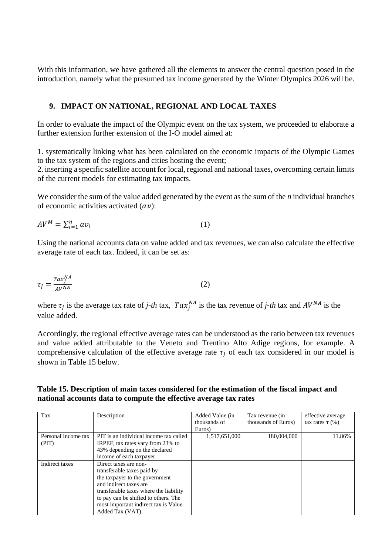With this information, we have gathered all the elements to answer the central question posed in the introduction, namely what the presumed tax income generated by the Winter Olympics 2026 will be.

#### **9. IMPACT ON NATIONAL, REGIONAL AND LOCAL TAXES**

In order to evaluate the impact of the Olympic event on the tax system, we proceeded to elaborate a further extension further extension of the I-O model aimed at:

1. systematically linking what has been calculated on the economic impacts of the Olympic Games to the tax system of the regions and cities hosting the event;

2. inserting a specific satellite account for local, regional and national taxes, overcoming certain limits of the current models for estimating tax impacts.

We consider the sum of the value added generated by the event as the sum of the *n* individual branches of economic activities activated  $(av)$ :

$$
AV^M = \sum_{i=1}^n av_i \tag{1}
$$

Using the national accounts data on value added and tax revenues, we can also calculate the effective average rate of each tax. Indeed, it can be set as:

$$
\tau_j = \frac{T a x_j^{NA}}{A V^{NA}} \tag{2}
$$

where  $\tau_j$  is the average tax rate of *j-th* tax,  $Tax_j^{NA}$  is the tax revenue of *j-th* tax and  $AV^{NA}$  is the value added.

Accordingly, the regional effective average rates can be understood as the ratio between tax revenues and value added attributable to the Veneto and Trentino Alto Adige regions, for example. A comprehensive calculation of the effective average rate  $\tau_i$  of each tax considered in our model is shown in Table 15 below.

#### **Table 15. Description of main taxes considered for the estimation of the fiscal impact and national accounts data to compute the effective average tax rates**

| Tax                 | Description                            | Added Value (in | Tax revenue (in     | effective average    |
|---------------------|----------------------------------------|-----------------|---------------------|----------------------|
|                     |                                        | thousands of    | thousands of Euros) | tax rates $\tau$ (%) |
|                     |                                        | Euros)          |                     |                      |
| Personal Income tax | PIT is an individual income tax called | 1,517,651,000   | 180,004,000         | 11.86%               |
| (PIT)               | IRPEF, tax rates vary from 23% to      |                 |                     |                      |
|                     | 43% depending on the declared          |                 |                     |                      |
|                     | income of each taxpayer                |                 |                     |                      |
| Indirect taxes      | Direct taxes are non-                  |                 |                     |                      |
|                     | transferable taxes paid by             |                 |                     |                      |
|                     | the taxpayer to the government         |                 |                     |                      |
|                     | and indirect taxes are                 |                 |                     |                      |
|                     | transferable taxes where the liability |                 |                     |                      |
|                     | to pay can be shifted to others. The   |                 |                     |                      |
|                     | most important indirect tax is Value   |                 |                     |                      |
|                     | Added Tax (VAT)                        |                 |                     |                      |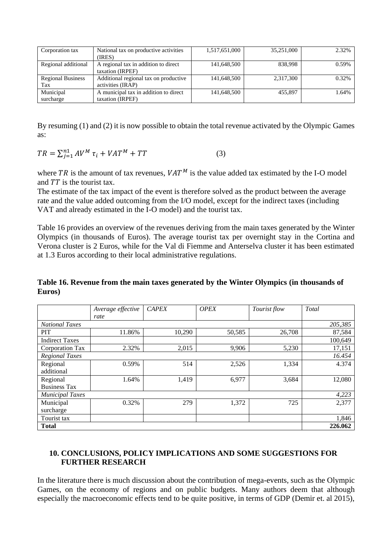| Corporation tax          | National tax on productive activities | 1,517,651,000 | 35,251,000 | 2.32% |
|--------------------------|---------------------------------------|---------------|------------|-------|
|                          | (IRES)                                |               |            |       |
| Regional additional      | A regional tax in addition to direct  | 141,648,500   | 838,998    | 0.59% |
|                          | taxation (IRPEF)                      |               |            |       |
| <b>Regional Business</b> | Additional regional tax on productive | 141,648,500   | 2,317,300  | 0.32% |
| Tax                      | activities (IRAP)                     |               |            |       |
| Municipal                | A municipal tax in addition to direct | 141,648,500   | 455.897    | 1.64% |
| surcharge                | taxation (IRPEF)                      |               |            |       |

By resuming (1) and (2) it is now possible to obtain the total revenue activated by the Olympic Games as:

$$
TR = \sum_{j=1}^{n} AV^M \tau_i + VAT^M + TT \tag{3}
$$

where TR is the amount of tax revenues,  $VAT^M$  is the value added tax estimated by the I-O model and  $TT$  is the tourist tax.

The estimate of the tax impact of the event is therefore solved as the product between the average rate and the value added outcoming from the I/O model, except for the indirect taxes (including VAT and already estimated in the I-O model) and the tourist tax.

Table 16 provides an overview of the revenues deriving from the main taxes generated by the Winter Olympics (in thousands of Euros). The average tourist tax per overnight stay in the Cortina and Verona cluster is 2 Euros, while for the Val di Fiemme and Anterselva cluster it has been estimated at 1.3 Euros according to their local administrative regulations.

#### **Table 16. Revenue from the main taxes generated by the Winter Olympics (in thousands of Euros)**

|                        | Average effective<br>rate | <b>CAPEX</b> | <b>OPEX</b> | Tourist flow | Total   |
|------------------------|---------------------------|--------------|-------------|--------------|---------|
| <b>National Taxes</b>  | 205,385                   |              |             |              |         |
| <b>PIT</b>             | 11.86%                    | 10,290       | 50,585      | 26,708       | 87,584  |
| <b>Indirect Taxes</b>  |                           |              |             |              | 100,649 |
| Corporation Tax        | 2.32%                     | 2,015        | 9,906       | 5,230        | 17,151  |
| <b>Regional Taxes</b>  |                           |              |             |              | 16.454  |
| Regional               | 0.59%                     | 514          | 2,526       | 1,334        | 4.374   |
| additional             |                           |              |             |              |         |
| Regional               | 1.64%                     | 1,419        | 6,977       | 3,684        | 12,080  |
| <b>Business Tax</b>    |                           |              |             |              |         |
| <b>Municipal Taxes</b> |                           |              |             |              | 4,223   |
| Municipal              | 0.32%                     | 279          | 1,372       | 725          | 2,377   |
| surcharge              |                           |              |             |              |         |
| Tourist tax            |                           |              |             |              | 1,846   |
| <b>Total</b>           |                           |              |             |              | 226.062 |

#### **10. CONCLUSIONS, POLICY IMPLICATIONS AND SOME SUGGESTIONS FOR FURTHER RESEARCH**

In the literature there is much discussion about the contribution of mega-events, such as the Olympic Games, on the economy of regions and on public budgets. Many authors deem that although especially the macroeconomic effects tend to be quite positive, in terms of GDP (Demir et. al 2015),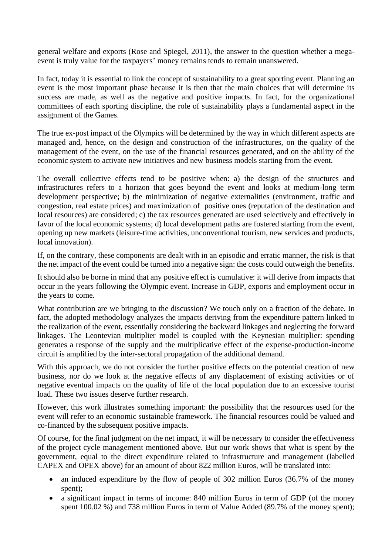general welfare and exports (Rose and Spiegel, 2011), the answer to the question whether a megaevent is truly value for the taxpayers' money remains tends to remain unanswered.

In fact, today it is essential to link the concept of sustainability to a great sporting event. Planning an event is the most important phase because it is then that the main choices that will determine its success are made, as well as the negative and positive impacts. In fact, for the organizational committees of each sporting discipline, the role of sustainability plays a fundamental aspect in the assignment of the Games.

The true ex-post impact of the Olympics will be determined by the way in which different aspects are managed and, hence, on the design and construction of the infrastructures, on the quality of the management of the event, on the use of the financial resources generated, and on the ability of the economic system to activate new initiatives and new business models starting from the event.

The overall collective effects tend to be positive when: a) the design of the structures and infrastructures refers to a horizon that goes beyond the event and looks at medium-long term development perspective; b) the minimization of negative externalities (environment, traffic and congestion, real estate prices) and maximization of positive ones (reputation of the destination and local resources) are considered; c) the tax resources generated are used selectively and effectively in favor of the local economic systems; d) local development paths are fostered starting from the event, opening up new markets (leisure-time activities, unconventional tourism, new services and products, local innovation).

If, on the contrary, these components are dealt with in an episodic and erratic manner, the risk is that the net impact of the event could be turned into a negative sign: the costs could outweigh the benefits.

It should also be borne in mind that any positive effect is cumulative: it will derive from impacts that occur in the years following the Olympic event. Increase in GDP, exports and employment occur in the years to come.

What contribution are we bringing to the discussion? We touch only on a fraction of the debate. In fact, the adopted methodology analyzes the impacts deriving from the expenditure pattern linked to the realization of the event, essentially considering the backward linkages and neglecting the forward linkages. The Leontevian multiplier model is coupled with the Keynesian multiplier: spending generates a response of the supply and the multiplicative effect of the expense-production-income circuit is amplified by the inter-sectoral propagation of the additional demand.

With this approach, we do not consider the further positive effects on the potential creation of new business, nor do we look at the negative effects of any displacement of existing activities or of negative eventual impacts on the quality of life of the local population due to an excessive tourist load. These two issues deserve further research.

However, this work illustrates something important: the possibility that the resources used for the event will refer to an economic sustainable framework. The financial resources could be valued and co-financed by the subsequent positive impacts.

Of course, for the final judgment on the net impact, it will be necessary to consider the effectiveness of the project cycle management mentioned above. But our work shows that what is spent by the government, equal to the direct expenditure related to infrastructure and management (labelled CAPEX and OPEX above) for an amount of about 822 million Euros, will be translated into:

- an induced expenditure by the flow of people of 302 million Euros (36.7% of the money spent);
- a significant impact in terms of income: 840 million Euros in term of GDP (of the money spent 100.02 %) and 738 million Euros in term of Value Added (89.7% of the money spent);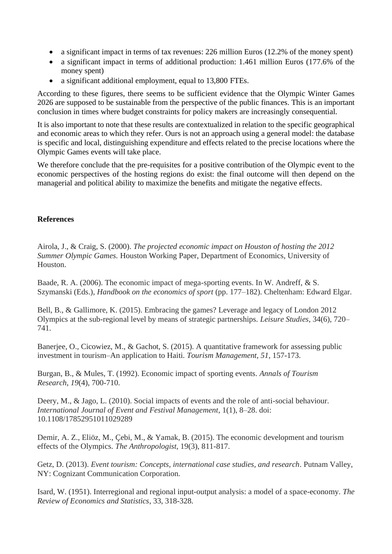- a significant impact in terms of tax revenues: 226 million Euros (12.2% of the money spent)
- a significant impact in terms of additional production: 1.461 million Euros (177.6% of the money spent)
- a significant additional employment, equal to 13,800 FTEs.

According to these figures, there seems to be sufficient evidence that the Olympic Winter Games 2026 are supposed to be sustainable from the perspective of the public finances. This is an important conclusion in times where budget constraints for policy makers are increasingly consequential.

It is also important to note that these results are contextualized in relation to the specific geographical and economic areas to which they refer. Ours is not an approach using a general model: the database is specific and local, distinguishing expenditure and effects related to the precise locations where the Olympic Games events will take place.

We therefore conclude that the pre-requisites for a positive contribution of the Olympic event to the economic perspectives of the hosting regions do exist: the final outcome will then depend on the managerial and political ability to maximize the benefits and mitigate the negative effects.

#### **References**

Airola, J., & Craig, S. (2000). *The projected economic impact on Houston of hosting the 2012 Summer Olympic Games.* Houston Working Paper, Department of Economics, University of Houston.

Baade, R. A. (2006). The economic impact of mega-sporting events. In W. Andreff, & S. Szymanski (Eds.), *Handbook on the economics of sport* (pp. 177–182). Cheltenham: Edward Elgar.

Bell, B., & Gallimore, K. (2015). Embracing the games? Leverage and legacy of London 2012 Olympics at the sub-regional level by means of strategic partnerships. *Leisure Studies*, 34(6), 720– 741.

Banerjee, O., Cicowiez, M., & Gachot, S. (2015). A quantitative framework for assessing public investment in tourism–An application to Haiti. *Tourism Management*, *51*, 157-173.

Burgan, B., & Mules, T. (1992). Economic impact of sporting events. *Annals of Tourism Research*, *19*(4), 700-710.

Deery, M., & Jago, L. (2010). Social impacts of events and the role of anti-social behaviour. *International Journal of Event and Festival Management*, 1(1), 8–28. doi: 10.1108/17852951011029289

Demir, A. Z., Eliöz, M., Çebi, M., & Yamak, B. (2015). The economic development and tourism effects of the Olympics. *The Anthropologist*, 19(3), 811-817.

Getz, D. (2013). *Event tourism: Concepts, international case studies, and research*. Putnam Valley, NY: Cognizant Communication Corporation.

Isard, W. (1951). Interregional and regional input-output analysis: a model of a space-economy. *The Review of Economics and Statistics*, 33, 318-328.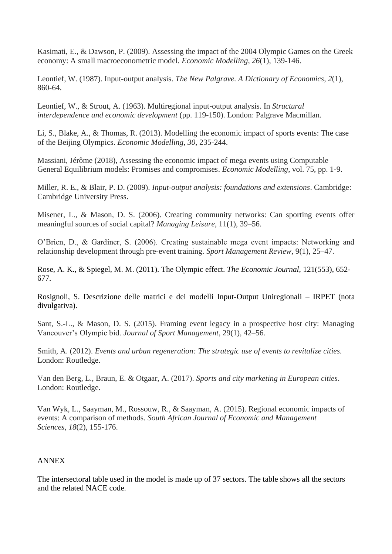Kasimati, E., & Dawson, P. (2009). Assessing the impact of the 2004 Olympic Games on the Greek economy: A small macroeconometric model. *Economic Modelling*, *26*(1), 139-146.

Leontief, W. (1987). Input-output analysis. *The New Palgrave. A Dictionary of Economics*, *2*(1), 860-64.

Leontief, W., & Strout, A. (1963). Multiregional input-output analysis. In *Structural interdependence and economic development* (pp. 119-150). London: Palgrave Macmillan.

Li, S., Blake, A., & Thomas, R. (2013). Modelling the economic impact of sports events: The case of the Beijing Olympics. *Economic Modelling*, *30*, 235-244.

Massiani, Jérôme (2018), Assessing the economic impact of mega events using Computable General Equilibrium models: Promises and compromises. *Economic Modelling*, vol. 75, pp. 1-9.

Miller, R. E., & Blair, P. D. (2009). *Input-output analysis: foundations and extensions*. Cambridge: Cambridge University Press.

Misener, L., & Mason, D. S. (2006). Creating community networks: Can sporting events offer meaningful sources of social capital? *Managing Leisure*, 11(1), 39–56.

O'Brien, D., & Gardiner, S. (2006). Creating sustainable mega event impacts: Networking and relationship development through pre-event training. *Sport Management Review*, 9(1), 25–47.

Rose, A. K., & Spiegel, M. M. (2011). The Olympic effect. *The Economic Journal*, 121(553), 652- 677.

Rosignoli, S. Descrizione delle matrici e dei modelli Input-Output Uniregionali – IRPET (nota divulgativa).

Sant, S.-L., & Mason, D. S. (2015). Framing event legacy in a prospective host city: Managing Vancouver's Olympic bid. *Journal of Sport Management*, 29(1), 42–56.

Smith, A. (2012). *Events and urban regeneration: The strategic use of events to revitalize cities.* London: Routledge.

Van den Berg, L., Braun, E. & Otgaar, A. (2017). *Sports and city marketing in European cities*. London: Routledge.

Van Wyk, L., Saayman, M., Rossouw, R., & Saayman, A. (2015). Regional economic impacts of events: A comparison of methods. *South African Journal of Economic and Management Sciences*, *18*(2), 155-176.

#### ANNEX

The intersectoral table used in the model is made up of 37 sectors. The table shows all the sectors and the related NACE code.